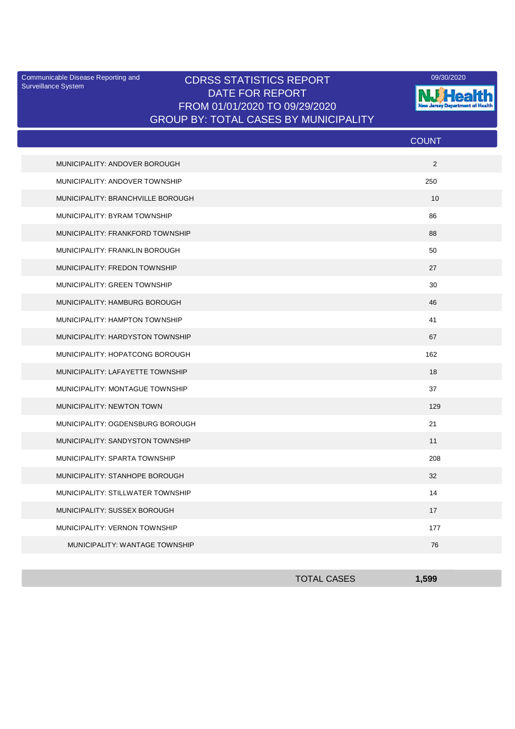Surveillance System

## Communicable Disease Reporting and CDRSS STATISTICS REPORT 2001 2020 2020 DATE FOR REPORT FROM 01/01/2020 TO 09/29/2020 GROUP BY: TOTAL CASES BY MUNICIPALITY



|                                   | <b>COUNT</b> |
|-----------------------------------|--------------|
| MUNICIPALITY: ANDOVER BOROUGH     | 2            |
| MUNICIPALITY: ANDOVER TOWNSHIP    | 250          |
| MUNICIPALITY: BRANCHVILLE BOROUGH | 10           |
| MUNICIPALITY: BYRAM TOWNSHIP      | 86           |
| MUNICIPALITY: FRANKFORD TOWNSHIP  | 88           |
| MUNICIPALITY: FRANKLIN BOROUGH    | 50           |
| MUNICIPALITY: FREDON TOWNSHIP     | 27           |
| MUNICIPALITY: GREEN TOWNSHIP      | 30           |
| MUNICIPALITY: HAMBURG BOROUGH     | 46           |
| MUNICIPALITY: HAMPTON TOWNSHIP    | 41           |
| MUNICIPALITY: HARDYSTON TOWNSHIP  | 67           |
| MUNICIPALITY: HOPATCONG BOROUGH   | 162          |
| MUNICIPALITY: LAFAYETTE TOWNSHIP  | 18           |
| MUNICIPALITY: MONTAGUE TOWNSHIP   | 37           |
| MUNICIPALITY: NEWTON TOWN         | 129          |
| MUNICIPALITY: OGDENSBURG BOROUGH  | 21           |
| MUNICIPALITY: SANDYSTON TOWNSHIP  | 11           |
| MUNICIPALITY: SPARTA TOWNSHIP     | 208          |
| MUNICIPALITY: STANHOPE BOROUGH    | 32           |
| MUNICIPALITY: STILLWATER TOWNSHIP | 14           |
| MUNICIPALITY: SUSSEX BOROUGH      | 17           |
| MUNICIPALITY: VERNON TOWNSHIP     | 177          |
| MUNICIPALITY: WANTAGE TOWNSHIP    | 76           |

| <b>TOTAL CASES</b> | 1,599 |
|--------------------|-------|
|                    |       |